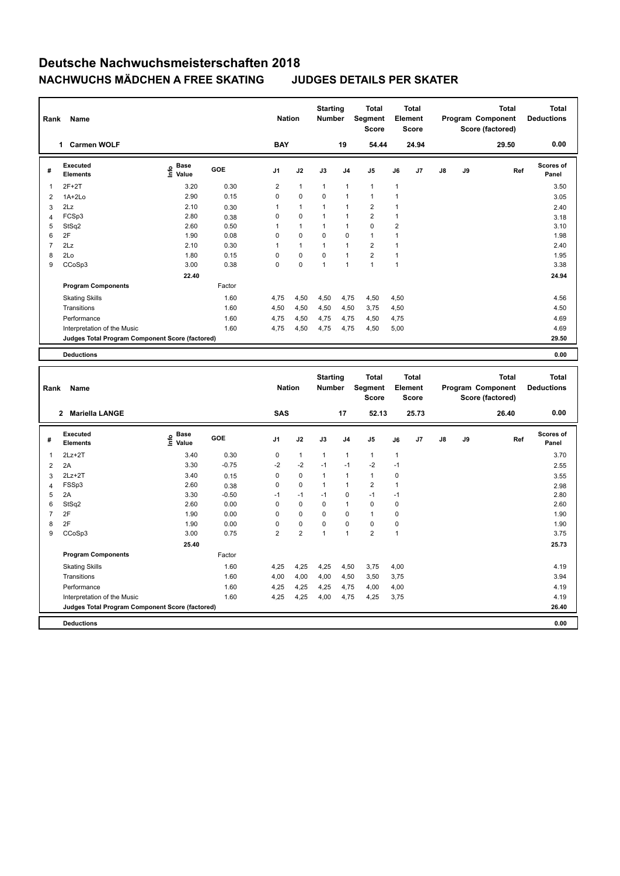| Rank                | Name                                                                 |                   |              | <b>Nation</b>       |                | <b>Starting</b><br>Number |                             | <b>Total</b><br>Segment<br><b>Score</b> |                            | <b>Total</b><br>Element<br><b>Score</b> |    |    | <b>Total</b><br>Program Component<br>Score (factored) |     | <b>Total</b><br><b>Deductions</b> |
|---------------------|----------------------------------------------------------------------|-------------------|--------------|---------------------|----------------|---------------------------|-----------------------------|-----------------------------------------|----------------------------|-----------------------------------------|----|----|-------------------------------------------------------|-----|-----------------------------------|
|                     | 1 Carmen WOLF                                                        |                   |              | <b>BAY</b>          |                |                           | 19                          | 54.44                                   |                            | 24.94                                   |    |    | 29.50                                                 |     | 0.00                              |
| #                   | <b>Executed</b><br><b>Elements</b>                                   | e Base<br>E Value | GOE          | J1                  | J2             | J3                        | J <sub>4</sub>              | J5                                      | J6                         | J7                                      | J8 | J9 |                                                       | Ref | <b>Scores of</b><br>Panel         |
| $\mathbf{1}$        | $2F+2T$                                                              | 3.20              | 0.30         | $\overline{2}$      | $\mathbf{1}$   | 1                         | $\mathbf{1}$                | $\mathbf{1}$                            | 1                          |                                         |    |    |                                                       |     | 3.50                              |
| $\overline{2}$      | $1A+2Lo$                                                             | 2.90              | 0.15         | $\Omega$            | 0              | 0                         | 1                           | $\mathbf{1}$                            | $\mathbf{1}$               |                                         |    |    |                                                       |     | 3.05                              |
| 3                   | 2Lz                                                                  | 2.10              | 0.30         | $\mathbf{1}$        | $\mathbf{1}$   | 1                         | $\mathbf{1}$                | $\overline{2}$                          | $\mathbf{1}$               |                                         |    |    |                                                       |     | 2.40                              |
| $\overline{4}$      | FCSp3                                                                | 2.80              | 0.38         | $\mathsf 0$         | 0              | 1                         | $\mathbf{1}$                | $\overline{2}$                          | $\mathbf{1}$               |                                         |    |    |                                                       |     | 3.18                              |
| 5                   | StSq2                                                                | 2.60              | 0.50         | $\mathbf{1}$        | $\mathbf{1}$   | 1                         | $\mathbf{1}$                | $\pmb{0}$                               | $\overline{2}$             |                                         |    |    |                                                       |     | 3.10                              |
| 6                   | 2F                                                                   | 1.90              | 0.08         | $\mathsf 0$         | 0              | 0                         | $\mathbf 0$                 | $\mathbf{1}$                            | $\mathbf{1}$               |                                         |    |    |                                                       |     | 1.98                              |
| $\overline{7}$      | 2Lz                                                                  | 2.10              | 0.30         | 1                   | 1              | 1                         | 1                           | $\overline{2}$                          | 1                          |                                         |    |    |                                                       |     | 2.40                              |
| 8                   | 2Lo                                                                  | 1.80              | 0.15         | $\mathsf 0$         | 0              | 0                         | $\mathbf{1}$                | $\overline{2}$                          | $\mathbf{1}$               |                                         |    |    |                                                       |     | 1.95                              |
| 9                   | CCoSp3                                                               | 3.00              | 0.38         | $\mathbf 0$         | 0              | $\mathbf{1}$              | $\overline{1}$              | $\mathbf{1}$                            | $\mathbf{1}$               |                                         |    |    |                                                       |     | 3.38                              |
|                     |                                                                      | 22.40             |              |                     |                |                           |                             |                                         |                            |                                         |    |    |                                                       |     | 24.94                             |
|                     | <b>Program Components</b>                                            |                   | Factor       |                     |                |                           |                             |                                         |                            |                                         |    |    |                                                       |     |                                   |
|                     | <b>Skating Skills</b>                                                |                   | 1.60         | 4,75                | 4,50           | 4,50                      | 4,75                        | 4,50                                    | 4,50                       |                                         |    |    |                                                       |     | 4.56                              |
|                     | Transitions                                                          |                   | 1.60         | 4,50                | 4,50           | 4,50                      | 4,50                        | 3,75                                    | 4,50                       |                                         |    |    |                                                       |     | 4.50                              |
|                     | Performance                                                          |                   | 1.60         | 4,75                | 4,50           | 4,75                      | 4,75                        | 4,50                                    | 4,75                       |                                         |    |    |                                                       |     | 4.69                              |
|                     | Interpretation of the Music                                          |                   | 1.60         | 4,75                | 4,50           | 4,75                      | 4,75                        | 4,50                                    | 5,00                       |                                         |    |    |                                                       |     | 4.69                              |
|                     | Judges Total Program Component Score (factored)                      |                   |              |                     |                |                           |                             |                                         |                            |                                         |    |    |                                                       |     | 29.50                             |
|                     |                                                                      |                   |              |                     |                |                           |                             |                                         |                            |                                         |    |    |                                                       |     |                                   |
|                     | <b>Deductions</b>                                                    |                   |              |                     |                |                           |                             |                                         |                            |                                         |    |    |                                                       |     | 0.00                              |
|                     |                                                                      |                   |              |                     |                |                           |                             |                                         |                            |                                         |    |    |                                                       |     |                                   |
|                     |                                                                      |                   |              |                     |                | <b>Starting</b>           |                             | <b>Total</b>                            |                            | <b>Total</b>                            |    |    | <b>Total</b>                                          |     | <b>Total</b>                      |
| Rank                | Name                                                                 |                   |              | <b>Nation</b>       |                | Number                    |                             | Segment<br><b>Score</b>                 |                            | Element<br><b>Score</b>                 |    |    | Program Component<br>Score (factored)                 |     | <b>Deductions</b>                 |
|                     | 2 Mariella LANGE                                                     |                   |              | <b>SAS</b>          |                |                           | 17                          | 52.13                                   |                            | 25.73                                   |    |    | 26.40                                                 |     | 0.00                              |
| #                   | <b>Executed</b><br><b>Elements</b>                                   | e Base<br>E Value | GOE          | J <sub>1</sub>      | J2             | J3                        | J <sub>4</sub>              | J <sub>5</sub>                          | J6                         | J7                                      | J8 | J9 |                                                       | Ref | Scores of<br>Panel                |
| $\mathbf{1}$        |                                                                      |                   |              |                     |                |                           |                             |                                         |                            |                                         |    |    |                                                       |     |                                   |
|                     | $2Lz+2T$                                                             | 3.40              | 0.30         | 0                   | $\mathbf{1}$   | 1<br>$-1$                 | $\mathbf{1}$<br>$-1$        | $\mathbf{1}$                            | $\mathbf{1}$               |                                         |    |    |                                                       |     | 3.70                              |
| $\overline{2}$      | 2A                                                                   | 3.30              | $-0.75$      | $-2$                | $-2$           |                           |                             | $-2$                                    | $-1$                       |                                         |    |    |                                                       |     | 2.55                              |
| 3                   | $2Lz + 2T$                                                           | 3.40              | 0.15         | 0                   | $\pmb{0}$      | 1<br>1                    | $\mathbf{1}$                | $\mathbf{1}$                            | 0                          |                                         |    |    |                                                       |     | 3.55                              |
| $\overline{4}$<br>5 | FSSp3                                                                | 2.60              | 0.38         | $\mathbf 0$<br>$-1$ | 0<br>$-1$      | $-1$                      | $\mathbf{1}$<br>$\mathbf 0$ | $\mathbf 2$<br>$-1$                     | $\mathbf{1}$<br>$-1$       |                                         |    |    |                                                       |     | 2.98                              |
|                     | 2A                                                                   | 3.30              | $-0.50$      | $\mathbf 0$         | $\mathbf 0$    | 0                         | $\mathbf{1}$                | $\mathbf 0$                             |                            |                                         |    |    |                                                       |     | 2.80                              |
| 6<br>$\overline{7}$ | StSq2<br>2F                                                          | 2.60<br>1.90      | 0.00<br>0.00 | $\mathbf 0$         | 0              | 0                         | $\mathbf 0$                 | $\mathbf{1}$                            | $\mathbf 0$<br>$\mathbf 0$ |                                         |    |    |                                                       |     | 2.60<br>1.90                      |
| 8                   | 2F                                                                   | 1.90              | 0.00         | $\mathsf 0$         | 0              | 0                         | $\mathbf 0$                 | $\pmb{0}$                               | $\mathbf 0$                |                                         |    |    |                                                       |     | 1.90                              |
| 9                   | CCoSp3                                                               | 3.00              | 0.75         | $\overline{2}$      | $\overline{2}$ | $\mathbf{1}$              | 1                           | $\overline{2}$                          | $\mathbf{1}$               |                                         |    |    |                                                       |     | 3.75                              |
|                     |                                                                      | 25.40             |              |                     |                |                           |                             |                                         |                            |                                         |    |    |                                                       |     | 25.73                             |
|                     | <b>Program Components</b>                                            |                   | Factor       |                     |                |                           |                             |                                         |                            |                                         |    |    |                                                       |     |                                   |
|                     |                                                                      |                   |              |                     |                |                           |                             |                                         |                            |                                         |    |    |                                                       |     |                                   |
|                     | <b>Skating Skills</b>                                                |                   | 1.60         | 4,25                | 4,25           | 4,25                      | 4,50                        | 3,75                                    | 4,00                       |                                         |    |    |                                                       |     | 4.19                              |
|                     | Transitions                                                          |                   | 1.60         | 4,00                | 4,00           | 4,00                      | 4,50                        | 3,50                                    | 3,75                       |                                         |    |    |                                                       |     | 3.94                              |
|                     | Performance                                                          |                   | 1.60         | 4,25                | 4,25           | 4,25                      | 4,75                        | 4,00                                    | 4,00                       |                                         |    |    |                                                       |     | 4.19                              |
|                     | Interpretation of the Music                                          |                   | 1.60         | 4,25                | 4,25           | 4,00                      | 4,75                        | 4,25                                    | 3,75                       |                                         |    |    |                                                       |     | 4.19                              |
|                     | Judges Total Program Component Score (factored)<br><b>Deductions</b> |                   |              |                     |                |                           |                             |                                         |                            |                                         |    |    |                                                       |     | 26.40<br>0.00                     |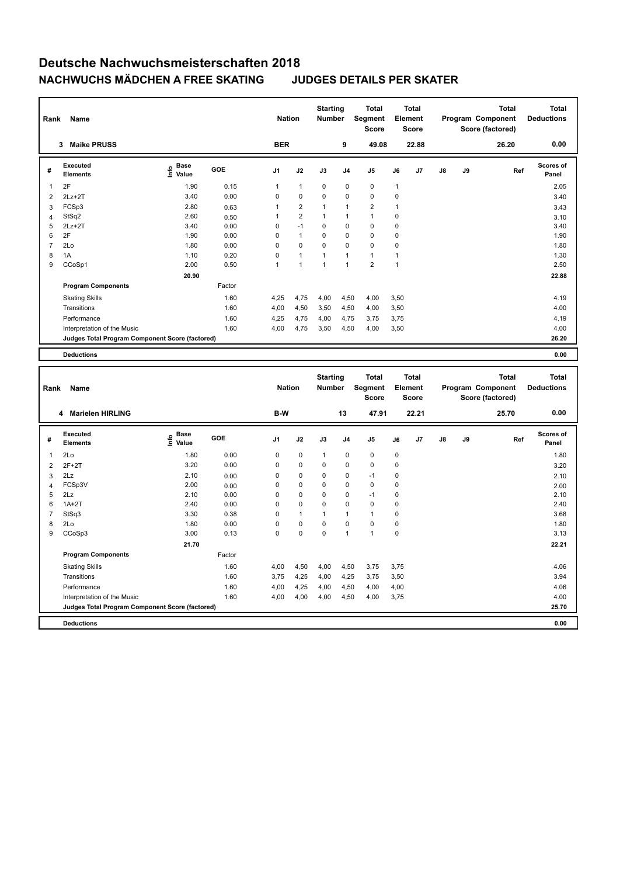| Rank           | Name                                            |                                           |        | <b>Nation</b>  |                         | <b>Starting</b><br><b>Number</b> |                | <b>Total</b><br>Segment<br><b>Score</b> |              | <b>Total</b><br>Element<br><b>Score</b> |    |    | <b>Total</b><br>Program Component<br>Score (factored) |     | <b>Total</b><br><b>Deductions</b> |
|----------------|-------------------------------------------------|-------------------------------------------|--------|----------------|-------------------------|----------------------------------|----------------|-----------------------------------------|--------------|-----------------------------------------|----|----|-------------------------------------------------------|-----|-----------------------------------|
|                | 3 Maike PRUSS                                   |                                           |        | <b>BER</b>     |                         |                                  | 9              | 49.08                                   |              | 22.88                                   |    |    | 26.20                                                 |     | 0.00                              |
| #              | <b>Executed</b><br><b>Elements</b>              | $\frac{6}{5}$ Base<br>$\frac{5}{5}$ Value | GOE    | J <sub>1</sub> | J2                      | J3                               | J <sub>4</sub> | J <sub>5</sub>                          | J6           | J7                                      | J8 | J9 |                                                       | Ref | <b>Scores of</b><br>Panel         |
| $\mathbf{1}$   | 2F                                              | 1.90                                      | 0.15   | 1              | $\mathbf{1}$            | 0                                | $\mathbf 0$    | $\pmb{0}$                               | 1            |                                         |    |    |                                                       |     | 2.05                              |
| $\overline{2}$ | $2Lz + 2T$                                      | 3.40                                      | 0.00   | $\mathsf 0$    | 0                       | 0                                | $\mathbf 0$    | $\pmb{0}$                               | $\mathbf 0$  |                                         |    |    |                                                       |     | 3.40                              |
| 3              | FCSp3                                           | 2.80                                      | 0.63   | $\mathbf{1}$   | $\overline{\mathbf{c}}$ | 1                                | $\overline{1}$ | $\overline{2}$                          | $\mathbf{1}$ |                                         |    |    |                                                       |     | 3.43                              |
| $\overline{4}$ | StSq2                                           | 2.60                                      | 0.50   | 1              | $\overline{2}$          | 1                                | $\overline{1}$ | $\mathbf{1}$                            | $\mathbf 0$  |                                         |    |    |                                                       |     | 3.10                              |
| 5              | $2Lz+2T$                                        | 3.40                                      | 0.00   | $\mathsf 0$    | $-1$                    | $\mathbf 0$                      | $\mathbf 0$    | $\mathbf 0$                             | $\mathbf 0$  |                                         |    |    |                                                       |     | 3.40                              |
| 6              | 2F                                              | 1.90                                      | 0.00   | $\mathbf 0$    | $\mathbf{1}$            | 0                                | $\mathbf 0$    | $\mathbf 0$                             | $\mathbf 0$  |                                         |    |    |                                                       |     | 1.90                              |
| $\overline{7}$ | 2Lo                                             | 1.80                                      | 0.00   | $\mathbf 0$    | 0                       | 0                                | $\mathbf 0$    | $\mathbf 0$                             | $\mathbf 0$  |                                         |    |    |                                                       |     | 1.80                              |
| 8              | 1A                                              | 1.10                                      | 0.20   | $\mathbf 0$    | $\overline{1}$          | $\overline{1}$                   | $\overline{1}$ | $\mathbf{1}$                            | $\mathbf{1}$ |                                         |    |    |                                                       |     | 1.30                              |
| 9              | CCoSp1                                          | 2.00                                      | 0.50   | 1              | $\overline{1}$          | 1                                | $\mathbf{1}$   | $\overline{2}$                          | 1            |                                         |    |    |                                                       |     | 2.50                              |
|                |                                                 | 20.90                                     |        |                |                         |                                  |                |                                         |              |                                         |    |    |                                                       |     | 22.88                             |
|                | <b>Program Components</b>                       |                                           | Factor |                |                         |                                  |                |                                         |              |                                         |    |    |                                                       |     |                                   |
|                | <b>Skating Skills</b>                           |                                           | 1.60   | 4,25           | 4,75                    | 4,00                             | 4,50           | 4,00                                    | 3,50         |                                         |    |    |                                                       |     | 4.19                              |
|                | Transitions                                     |                                           | 1.60   | 4,00           | 4,50                    | 3,50                             | 4,50           | 4,00                                    | 3,50         |                                         |    |    |                                                       |     | 4.00                              |
|                | Performance                                     |                                           | 1.60   | 4,25           | 4,75                    | 4,00                             | 4,75           | 3,75                                    | 3,75         |                                         |    |    |                                                       |     | 4.19                              |
|                | Interpretation of the Music                     |                                           | 1.60   | 4,00           | 4,75                    | 3,50                             | 4,50           | 4,00                                    | 3,50         |                                         |    |    |                                                       |     | 4.00                              |
|                | Judges Total Program Component Score (factored) |                                           |        |                |                         |                                  |                |                                         |              |                                         |    |    |                                                       |     | 26.20                             |
|                |                                                 |                                           |        |                |                         |                                  |                |                                         |              |                                         |    |    |                                                       |     |                                   |
|                | <b>Deductions</b>                               |                                           |        |                |                         |                                  |                |                                         |              |                                         |    |    |                                                       |     | 0.00                              |
|                |                                                 |                                           |        |                |                         |                                  |                |                                         |              |                                         |    |    |                                                       |     |                                   |
| Rank           | Name                                            |                                           |        | <b>Nation</b>  |                         | <b>Starting</b><br><b>Number</b> |                | <b>Total</b>                            |              | <b>Total</b><br>Element                 |    |    | <b>Total</b><br>Program Component                     |     | <b>Total</b><br><b>Deductions</b> |
|                |                                                 |                                           |        |                |                         |                                  |                | Segment<br><b>Score</b>                 |              | <b>Score</b>                            |    |    | Score (factored)                                      |     |                                   |
|                | 4 Marielen HIRLING                              |                                           |        | B-W            |                         |                                  | 13             | 47.91                                   |              | 22.21                                   |    |    | 25.70                                                 |     | 0.00                              |
|                |                                                 |                                           |        |                |                         |                                  |                |                                         |              |                                         |    |    |                                                       |     |                                   |
| #              | <b>Executed</b><br><b>Elements</b>              | e Base<br>E Value                         | GOE    | J <sub>1</sub> | J2                      | J3                               | J <sub>4</sub> | J <sub>5</sub>                          | J6           | J7                                      | J8 | J9 |                                                       | Ref | <b>Scores of</b><br>Panel         |
| $\mathbf{1}$   | 2Lo                                             | 1.80                                      | 0.00   | 0              | 0                       | 1                                | $\mathbf 0$    | $\pmb{0}$                               | 0            |                                         |    |    |                                                       |     | 1.80                              |
| $\overline{2}$ | $2F+2T$                                         | 3.20                                      | 0.00   | $\mathsf 0$    | 0                       | 0                                | $\mathbf 0$    | $\pmb{0}$                               | $\mathbf 0$  |                                         |    |    |                                                       |     | 3.20                              |
| 3              | 2Lz                                             | 2.10                                      | 0.00   | $\mathsf 0$    | $\pmb{0}$               | 0                                | $\mathbf 0$    | $-1$                                    | $\mathbf 0$  |                                         |    |    |                                                       |     | 2.10                              |
| $\overline{4}$ | FCSp3V                                          | 2.00                                      | 0.00   | $\mathsf 0$    | 0                       | 0                                | $\mathbf 0$    | $\mathbf 0$                             | $\mathbf 0$  |                                         |    |    |                                                       |     | 2.00                              |
| 5              | 2Lz                                             | 2.10                                      | 0.00   | $\mathbf 0$    | 0                       | 0                                | $\mathbf 0$    | $-1$                                    | $\mathbf 0$  |                                         |    |    |                                                       |     | 2.10                              |
| 6              | $1A+2T$                                         | 2.40                                      | 0.00   | $\mathsf 0$    | 0                       | 0                                | $\mathbf 0$    | $\mathbf 0$                             | $\mathbf 0$  |                                         |    |    |                                                       |     | 2.40                              |
| $\overline{7}$ | StSq3                                           | 3.30                                      | 0.38   | $\mathbf 0$    | $\mathbf{1}$            | 1                                | $\mathbf{1}$   | $\mathbf{1}$                            | $\mathbf 0$  |                                         |    |    |                                                       |     | 3.68                              |
| 8              | 2Lo                                             | 1.80                                      | 0.00   | $\mathbf 0$    | 0                       | 0                                | $\mathbf 0$    | $\pmb{0}$                               | $\mathbf 0$  |                                         |    |    |                                                       |     | 1.80                              |
| 9              | CCoSp3                                          | 3.00                                      | 0.13   | $\mathbf 0$    | 0                       | $\overline{0}$                   | 1              | $\mathbf{1}$                            | $\mathbf 0$  |                                         |    |    |                                                       |     | 3.13                              |
|                |                                                 | 21.70                                     |        |                |                         |                                  |                |                                         |              |                                         |    |    |                                                       |     | 22.21                             |
|                | <b>Program Components</b>                       |                                           | Factor |                |                         |                                  |                |                                         |              |                                         |    |    |                                                       |     |                                   |
|                | <b>Skating Skills</b>                           |                                           | 1.60   | 4,00           | 4,50                    | 4,00                             | 4,50           | 3,75                                    | 3,75         |                                         |    |    |                                                       |     | 4.06                              |
|                | Transitions                                     |                                           | 1.60   | 3,75           | 4,25                    | 4,00                             | 4,25           | 3,75                                    | 3,50         |                                         |    |    |                                                       |     | 3.94                              |
|                | Performance                                     |                                           | 1.60   | 4,00           | 4,25                    | 4,00                             | 4,50           | 4,00                                    | 4,00         |                                         |    |    |                                                       |     | 4.06                              |
|                | Interpretation of the Music                     |                                           | 1.60   | 4,00           | 4,00                    | 4,00                             | 4,50           | 4,00                                    | 3,75         |                                         |    |    |                                                       |     | 4.00                              |
|                | Judges Total Program Component Score (factored) |                                           |        |                |                         |                                  |                |                                         |              |                                         |    |    |                                                       |     | 25.70                             |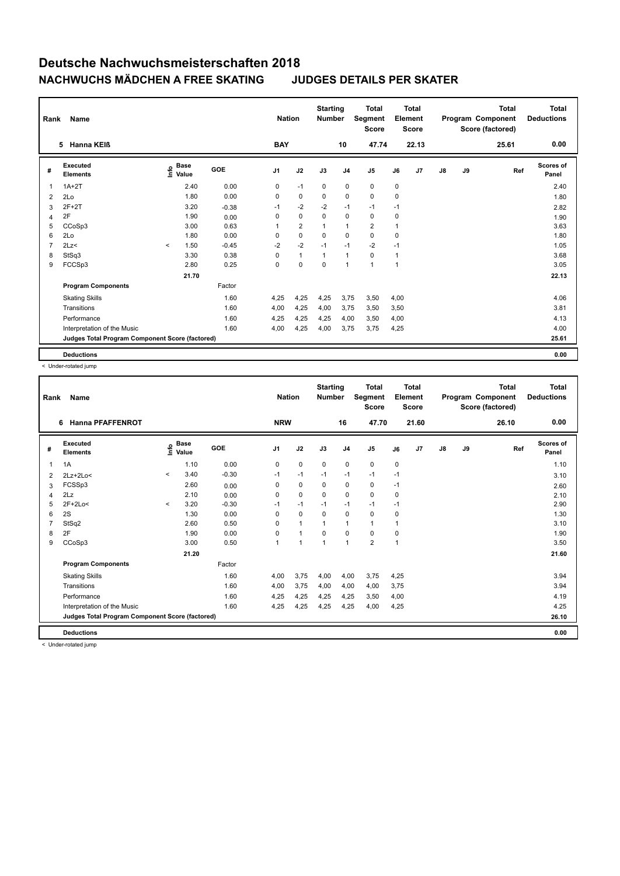| Rank           | Name                                            |         |                      |         | <b>Nation</b>  |                | <b>Starting</b><br><b>Number</b> |                | <b>Total</b><br>Segment<br><b>Score</b> |              | <b>Total</b><br>Element<br><b>Score</b> |               |    | <b>Total</b><br>Program Component<br>Score (factored) | <b>Total</b><br><b>Deductions</b> |
|----------------|-------------------------------------------------|---------|----------------------|---------|----------------|----------------|----------------------------------|----------------|-----------------------------------------|--------------|-----------------------------------------|---------------|----|-------------------------------------------------------|-----------------------------------|
|                | Hanna KEIß<br>5                                 |         |                      |         | <b>BAY</b>     |                |                                  | 10             | 47.74                                   |              | 22.13                                   |               |    | 25.61                                                 | 0.00                              |
| #              | Executed<br><b>Elements</b>                     | Info    | <b>Base</b><br>Value | GOE     | J <sub>1</sub> | J2             | J3                               | J <sub>4</sub> | J <sub>5</sub>                          | J6           | J7                                      | $\mathsf{J}8$ | J9 | Ref                                                   | Scores of<br>Panel                |
| 1              | $1A+2T$                                         |         | 2.40                 | 0.00    | 0              | $-1$           | 0                                | $\mathbf 0$    | $\mathbf 0$                             | 0            |                                         |               |    |                                                       | 2.40                              |
| 2              | 2Lo                                             |         | 1.80                 | 0.00    | 0              | 0              | 0                                | $\mathbf 0$    | $\mathbf 0$                             | 0            |                                         |               |    |                                                       | 1.80                              |
| 3              | $2F+2T$                                         |         | 3.20                 | $-0.38$ | $-1$           | $-2$           | $-2$                             | $-1$           | $-1$                                    | $-1$         |                                         |               |    |                                                       | 2.82                              |
| 4              | 2F                                              |         | 1.90                 | 0.00    | 0              | $\mathbf 0$    | 0                                | 0              | 0                                       | 0            |                                         |               |    |                                                       | 1.90                              |
| 5              | CCoSp3                                          |         | 3.00                 | 0.63    | 1              | $\overline{2}$ | $\mathbf{1}$                     | $\mathbf{1}$   | $\overline{2}$                          | 1            |                                         |               |    |                                                       | 3.63                              |
| 6              | 2Lo                                             |         | 1.80                 | 0.00    | 0              | $\mathbf 0$    | $\mathbf 0$                      | $\mathbf 0$    | $\mathbf 0$                             | 0            |                                         |               |    |                                                       | 1.80                              |
| $\overline{7}$ | 2Lz<                                            | $\prec$ | 1.50                 | $-0.45$ | $-2$           | $-2$           | $-1$                             | $-1$           | $-2$                                    | $-1$         |                                         |               |    |                                                       | 1.05                              |
| 8              | StSq3                                           |         | 3.30                 | 0.38    | 0              | $\mathbf{1}$   | $\mathbf{1}$                     | $\mathbf{1}$   | $\mathbf 0$                             | $\mathbf{1}$ |                                         |               |    |                                                       | 3.68                              |
| 9              | FCCSp3                                          |         | 2.80                 | 0.25    | 0              | $\mathbf 0$    | $\mathbf 0$                      | $\mathbf{1}$   | $\overline{1}$                          | $\mathbf{1}$ |                                         |               |    |                                                       | 3.05                              |
|                |                                                 |         | 21.70                |         |                |                |                                  |                |                                         |              |                                         |               |    |                                                       | 22.13                             |
|                | <b>Program Components</b>                       |         |                      | Factor  |                |                |                                  |                |                                         |              |                                         |               |    |                                                       |                                   |
|                | <b>Skating Skills</b>                           |         |                      | 1.60    | 4,25           | 4,25           | 4,25                             | 3,75           | 3,50                                    | 4,00         |                                         |               |    |                                                       | 4.06                              |
|                | Transitions                                     |         |                      | 1.60    | 4,00           | 4,25           | 4,00                             | 3,75           | 3,50                                    | 3,50         |                                         |               |    |                                                       | 3.81                              |
|                | Performance                                     |         |                      | 1.60    | 4,25           | 4,25           | 4,25                             | 4,00           | 3,50                                    | 4,00         |                                         |               |    |                                                       | 4.13                              |
|                | Interpretation of the Music                     |         |                      | 1.60    | 4,00           | 4,25           | 4,00                             | 3,75           | 3,75                                    | 4,25         |                                         |               |    |                                                       | 4.00                              |
|                | Judges Total Program Component Score (factored) |         |                      |         |                |                |                                  |                |                                         |              |                                         |               |    |                                                       | 25.61                             |
|                | <b>Deductions</b>                               |         |                      |         |                |                |                                  |                |                                         |              |                                         |               |    |                                                       | 0.00                              |

< Under-rotated jump

| Rank | Name                                            |          |                                    |         | <b>Nation</b>  |                      | <b>Starting</b><br><b>Number</b> |                | <b>Total</b><br>Segment<br><b>Score</b> | Element      | <b>Total</b><br>Score |    |    | <b>Total</b><br>Program Component<br>Score (factored) | <b>Total</b><br><b>Deductions</b> |
|------|-------------------------------------------------|----------|------------------------------------|---------|----------------|----------------------|----------------------------------|----------------|-----------------------------------------|--------------|-----------------------|----|----|-------------------------------------------------------|-----------------------------------|
|      | <b>Hanna PFAFFENROT</b><br>6                    |          |                                    |         | <b>NRW</b>     |                      |                                  | 16             | 47.70                                   |              | 21.60                 |    |    | 26.10                                                 | 0.00                              |
| #    | Executed<br><b>Elements</b>                     |          | <b>Base</b><br>$\frac{6}{5}$ Value | GOE     | J <sub>1</sub> | J2                   | J3                               | J <sub>4</sub> | J <sub>5</sub>                          | J6           | J7                    | J8 | J9 | Ref                                                   | <b>Scores of</b><br>Panel         |
| 1    | 1A                                              |          | 1.10                               | 0.00    | 0              | $\mathbf 0$          | $\mathbf 0$                      | $\mathbf 0$    | $\mathbf 0$                             | 0            |                       |    |    |                                                       | 1.10                              |
| 2    | $2Lz+2Lo<$                                      | $\prec$  | 3.40                               | $-0.30$ | $-1$           | $-1$                 | $-1$                             | $-1$           | $-1$                                    | $-1$         |                       |    |    |                                                       | 3.10                              |
| 3    | FCSSp3                                          |          | 2.60                               | 0.00    | $\Omega$       | $\mathbf 0$          | $\Omega$                         | $\mathbf 0$    | $\mathbf 0$                             | $-1$         |                       |    |    |                                                       | 2.60                              |
| 4    | 2Lz                                             |          | 2.10                               | 0.00    | 0              | 0                    | $\Omega$                         | 0              | 0                                       | 0            |                       |    |    |                                                       | 2.10                              |
| 5    | $2F+2Lo<$                                       | $\hat{}$ | 3.20                               | $-0.30$ | $-1$           | $-1$                 | $-1$                             | $-1$           | $-1$                                    | $-1$         |                       |    |    |                                                       | 2.90                              |
| 6    | 2S                                              |          | 1.30                               | 0.00    | $\Omega$       | $\mathbf 0$          | $\Omega$                         | $\mathbf 0$    | $\mathbf 0$                             | 0            |                       |    |    |                                                       | 1.30                              |
|      | StSq2                                           |          | 2.60                               | 0.50    | 0              | $\mathbf{1}$         | $\mathbf 1$                      | $\mathbf{1}$   | $\mathbf{1}$                            | 1            |                       |    |    |                                                       | 3.10                              |
| 8    | 2F                                              |          | 1.90                               | 0.00    | 0              | $\blacktriangleleft$ | $\Omega$                         | 0              | $\mathbf 0$                             | 0            |                       |    |    |                                                       | 1.90                              |
| 9    | CCoSp3                                          |          | 3.00                               | 0.50    | 1              | 1                    | 1                                | $\mathbf{1}$   | $\overline{2}$                          | $\mathbf{1}$ |                       |    |    |                                                       | 3.50                              |
|      |                                                 |          | 21.20                              |         |                |                      |                                  |                |                                         |              |                       |    |    |                                                       | 21.60                             |
|      | <b>Program Components</b>                       |          |                                    | Factor  |                |                      |                                  |                |                                         |              |                       |    |    |                                                       |                                   |
|      | <b>Skating Skills</b>                           |          |                                    | 1.60    | 4,00           | 3,75                 | 4,00                             | 4,00           | 3,75                                    | 4,25         |                       |    |    |                                                       | 3.94                              |
|      | Transitions                                     |          |                                    | 1.60    | 4,00           | 3,75                 | 4,00                             | 4,00           | 4,00                                    | 3,75         |                       |    |    |                                                       | 3.94                              |
|      | Performance                                     |          |                                    | 1.60    | 4,25           | 4,25                 | 4,25                             | 4,25           | 3,50                                    | 4,00         |                       |    |    |                                                       | 4.19                              |
|      | Interpretation of the Music                     |          |                                    | 1.60    | 4,25           | 4,25                 | 4,25                             | 4,25           | 4,00                                    | 4,25         |                       |    |    |                                                       | 4.25                              |
|      | Judges Total Program Component Score (factored) |          |                                    |         |                |                      |                                  |                |                                         |              |                       |    |    |                                                       | 26.10                             |
|      | <b>Deductions</b>                               |          |                                    |         |                |                      |                                  |                |                                         |              |                       |    |    |                                                       | 0.00                              |

< Under-rotated jump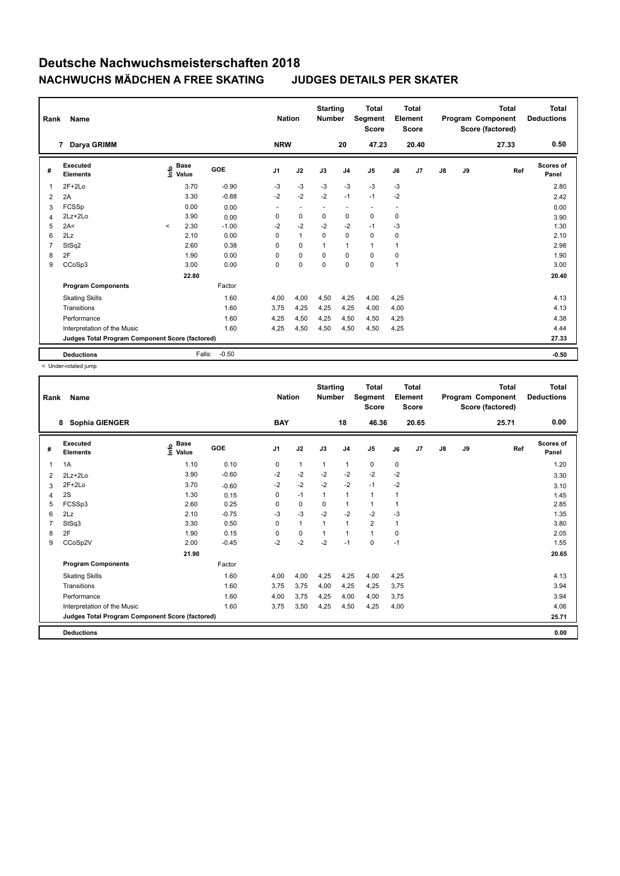| Rank           | Name                                            |         |                      |         | <b>Nation</b>  |              | <b>Starting</b><br><b>Number</b> |                | <b>Total</b><br>Segment<br><b>Score</b> |                          | <b>Total</b><br>Element<br><b>Score</b> |               |    | <b>Total</b><br>Program Component<br>Score (factored) | Total<br><b>Deductions</b> |
|----------------|-------------------------------------------------|---------|----------------------|---------|----------------|--------------|----------------------------------|----------------|-----------------------------------------|--------------------------|-----------------------------------------|---------------|----|-------------------------------------------------------|----------------------------|
|                | Darya GRIMM<br>7                                |         |                      |         | <b>NRW</b>     |              |                                  | 20             | 47.23                                   |                          | 20.40                                   |               |    | 27.33                                                 | 0.50                       |
| #              | Executed<br><b>Elements</b>                     | lnfo    | <b>Base</b><br>Value | GOE     | J <sub>1</sub> | J2           | J3                               | J <sub>4</sub> | J <sub>5</sub>                          | J6                       | J7                                      | $\mathsf{J}8$ | J9 | Ref                                                   | <b>Scores of</b><br>Panel  |
| 1              | 2F+2Lo                                          |         | 3.70                 | $-0.90$ | $-3$           | $-3$         | $-3$                             | $-3$           | $-3$                                    | $-3$                     |                                         |               |    |                                                       | 2.80                       |
| 2              | 2A                                              |         | 3.30                 | $-0.88$ | $-2$           | $-2$         | $-2$                             | $-1$           | $-1$                                    | $-2$                     |                                         |               |    |                                                       | 2.42                       |
| 3              | <b>FCSSp</b>                                    |         | 0.00                 | 0.00    | ٠              | ٠            | ٠                                | ٠              | $\sim$                                  | $\overline{\phantom{a}}$ |                                         |               |    |                                                       | 0.00                       |
| 4              | 2Lz+2Lo                                         |         | 3.90                 | 0.00    | 0              | 0            | 0                                | 0              | 0                                       | 0                        |                                         |               |    |                                                       | 3.90                       |
| 5              | 2A<                                             | $\prec$ | 2.30                 | $-1.00$ | $-2$           | $-2$         | $-2$                             | $-2$           | $-1$                                    | $-3$                     |                                         |               |    |                                                       | 1.30                       |
| 6              | 2Lz                                             |         | 2.10                 | 0.00    | 0              | $\mathbf{1}$ | $\mathbf 0$                      | 0              | 0                                       | 0                        |                                         |               |    |                                                       | 2.10                       |
| $\overline{7}$ | StSq2                                           |         | 2.60                 | 0.38    | 0              | $\mathbf 0$  |                                  | $\mathbf{1}$   | $\mathbf{1}$                            | 1                        |                                         |               |    |                                                       | 2.98                       |
| 8              | 2F                                              |         | 1.90                 | 0.00    | 0              | $\mathbf 0$  | $\Omega$                         | 0              | 0                                       | 0                        |                                         |               |    |                                                       | 1.90                       |
| 9              | CCoSp3                                          |         | 3.00                 | 0.00    | $\Omega$       | $\Omega$     | $\Omega$                         | $\Omega$       | $\Omega$                                | 1                        |                                         |               |    |                                                       | 3.00                       |
|                |                                                 |         | 22.80                |         |                |              |                                  |                |                                         |                          |                                         |               |    |                                                       | 20.40                      |
|                | <b>Program Components</b>                       |         |                      | Factor  |                |              |                                  |                |                                         |                          |                                         |               |    |                                                       |                            |
|                | <b>Skating Skills</b>                           |         |                      | 1.60    | 4,00           | 4,00         | 4,50                             | 4,25           | 4,00                                    | 4,25                     |                                         |               |    |                                                       | 4.13                       |
|                | Transitions                                     |         |                      | 1.60    | 3,75           | 4,25         | 4,25                             | 4,25           | 4,00                                    | 4,00                     |                                         |               |    |                                                       | 4.13                       |
|                | Performance                                     |         |                      | 1.60    | 4,25           | 4,50         | 4,25                             | 4,50           | 4,50                                    | 4,25                     |                                         |               |    |                                                       | 4.38                       |
|                | Interpretation of the Music                     |         |                      | 1.60    | 4,25           | 4,50         | 4,50                             | 4,50           | 4,50                                    | 4,25                     |                                         |               |    |                                                       | 4.44                       |
|                | Judges Total Program Component Score (factored) |         |                      |         |                |              |                                  |                |                                         |                          |                                         |               |    |                                                       | 27.33                      |
|                | <b>Deductions</b>                               |         | Falls:               | $-0.50$ |                |              |                                  |                |                                         |                          |                                         |               |    |                                                       | $-0.50$                    |

< Under-rotated jump

| Rank | Name                                            |                                  |            | <b>Nation</b>  |              | <b>Starting</b><br><b>Number</b> |                | <b>Total</b><br>Segment<br><b>Score</b> | Element     | <b>Total</b><br>Score |               |    | <b>Total</b><br>Program Component<br>Score (factored) | <b>Total</b><br><b>Deductions</b> |
|------|-------------------------------------------------|----------------------------------|------------|----------------|--------------|----------------------------------|----------------|-----------------------------------------|-------------|-----------------------|---------------|----|-------------------------------------------------------|-----------------------------------|
|      | Sophia GIENGER<br>8                             |                                  |            | <b>BAY</b>     |              |                                  | 18             | 46.36                                   |             | 20.65                 |               |    | 25.71                                                 | 0.00                              |
| #    | Executed<br><b>Elements</b>                     | <b>Base</b><br>e Base<br>⊆ Value | <b>GOE</b> | J <sub>1</sub> | J2           | J3                               | J <sub>4</sub> | J5                                      | J6          | J <sub>7</sub>        | $\mathsf{J}8$ | J9 | Ref                                                   | <b>Scores of</b><br>Panel         |
| 1    | 1A                                              | 1.10                             | 0.10       | 0              | $\mathbf{1}$ | $\mathbf{1}$                     | $\mathbf{1}$   | $\pmb{0}$                               | 0           |                       |               |    |                                                       | 1.20                              |
| 2    | $2Lz + 2Lo$                                     | 3.90                             | $-0.60$    | $-2$           | $-2$         | $-2$                             | $-2$           | $-2$                                    | $-2$        |                       |               |    |                                                       | 3.30                              |
| 3    | $2F+2Lo$                                        | 3.70                             | $-0.60$    | $-2$           | $-2$         | $-2$                             | $-2$           | $-1$                                    | $-2$        |                       |               |    |                                                       | 3.10                              |
| 4    | 2S                                              | 1.30                             | 0.15       | $\Omega$       | $-1$         | $\mathbf{1}$                     | $\mathbf{1}$   | $\mathbf{1}$                            | 1           |                       |               |    |                                                       | 1.45                              |
| 5    | FCSSp3                                          | 2.60                             | 0.25       | 0              | 0            | 0                                | $\mathbf{1}$   | $\mathbf{1}$                            | 1           |                       |               |    |                                                       | 2.85                              |
| 6    | 2Lz                                             | 2.10                             | $-0.75$    | $-3$           | $-3$         | $-2$                             | $-2$           | $-2$                                    | $-3$        |                       |               |    |                                                       | 1.35                              |
|      | StSq3                                           | 3.30                             | 0.50       | 0              | $\mathbf{1}$ | 1                                | $\mathbf{1}$   | $\overline{2}$                          | 1           |                       |               |    |                                                       | 3.80                              |
| 8    | 2F                                              | 1.90                             | 0.15       | 0              | $\mathbf 0$  | 1                                | $\mathbf{1}$   | $\mathbf{1}$                            | $\mathbf 0$ |                       |               |    |                                                       | 2.05                              |
| 9    | CCoSp2V                                         | 2.00                             | $-0.45$    | $-2$           | $-2$         | $-2$                             | $-1$           | $\mathbf 0$                             | $-1$        |                       |               |    |                                                       | 1.55                              |
|      |                                                 | 21.90                            |            |                |              |                                  |                |                                         |             |                       |               |    |                                                       | 20.65                             |
|      | <b>Program Components</b>                       |                                  | Factor     |                |              |                                  |                |                                         |             |                       |               |    |                                                       |                                   |
|      | <b>Skating Skills</b>                           |                                  | 1.60       | 4,00           | 4,00         | 4,25                             | 4,25           | 4,00                                    | 4,25        |                       |               |    |                                                       | 4.13                              |
|      | Transitions                                     |                                  | 1.60       | 3,75           | 3,75         | 4,00                             | 4,25           | 4,25                                    | 3,75        |                       |               |    |                                                       | 3.94                              |
|      | Performance                                     |                                  | 1.60       | 4,00           | 3,75         | 4,25                             | 4,00           | 4,00                                    | 3,75        |                       |               |    |                                                       | 3.94                              |
|      | Interpretation of the Music                     |                                  | 1.60       | 3,75           | 3,50         | 4,25                             | 4,50           | 4,25                                    | 4,00        |                       |               |    |                                                       | 4.06                              |
|      | Judges Total Program Component Score (factored) |                                  |            |                |              |                                  |                |                                         |             |                       |               |    |                                                       | 25.71                             |
|      | <b>Deductions</b>                               |                                  |            |                |              |                                  |                |                                         |             |                       |               |    |                                                       | 0.00                              |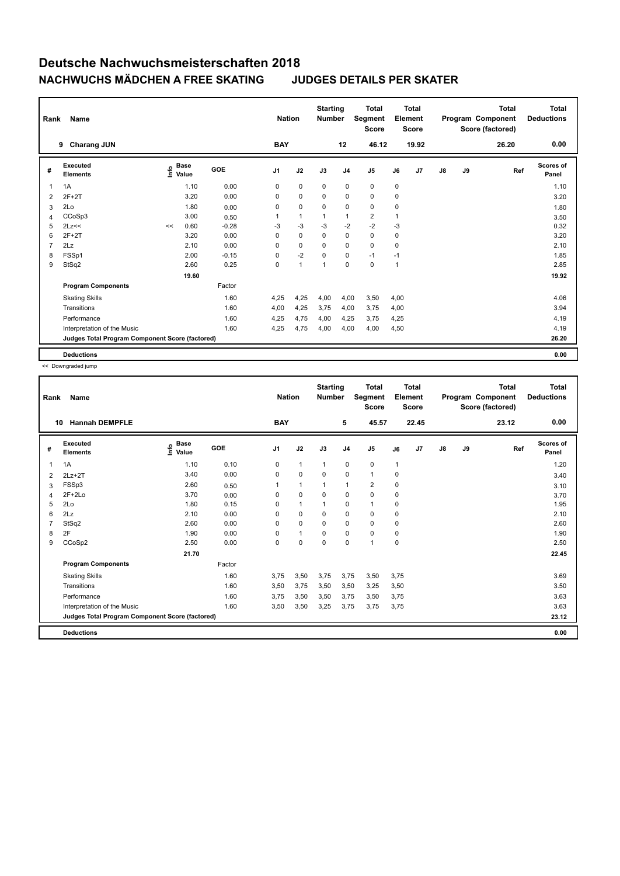| Rank | Name                                            |                   |             |         | <b>Nation</b>  |              | <b>Starting</b><br><b>Number</b> |                | <b>Total</b><br>Segment<br><b>Score</b> |              | Total<br>Element<br><b>Score</b> |               |    | <b>Total</b><br>Program Component<br>Score (factored) | Total<br><b>Deductions</b> |
|------|-------------------------------------------------|-------------------|-------------|---------|----------------|--------------|----------------------------------|----------------|-----------------------------------------|--------------|----------------------------------|---------------|----|-------------------------------------------------------|----------------------------|
|      | <b>Charang JUN</b><br>9                         |                   |             |         | <b>BAY</b>     |              |                                  | 12             | 46.12                                   |              | 19.92                            |               |    | 26.20                                                 | 0.00                       |
| #    | <b>Executed</b><br><b>Elements</b>              | o Base<br>⊆ Value | <b>Base</b> | GOE     | J <sub>1</sub> | J2           | J3                               | J <sub>4</sub> | J <sub>5</sub>                          | J6           | J7                               | $\mathsf{J}8$ | J9 | Ref                                                   | Scores of<br>Panel         |
| 1    | 1A                                              |                   | 1.10        | 0.00    | 0              | $\mathbf 0$  | $\mathbf 0$                      | $\mathbf 0$    | $\mathbf 0$                             | $\mathbf 0$  |                                  |               |    |                                                       | 1.10                       |
| 2    | $2F+2T$                                         |                   | 3.20        | 0.00    | 0              | $\mathbf 0$  | 0                                | $\pmb{0}$      | $\pmb{0}$                               | 0            |                                  |               |    |                                                       | 3.20                       |
| 3    | 2Lo                                             |                   | 1.80        | 0.00    | 0              | $\mathbf 0$  | 0                                | $\mathbf 0$    | $\mathbf 0$                             | 0            |                                  |               |    |                                                       | 1.80                       |
| 4    | CCoSp3                                          |                   | 3.00        | 0.50    | 1              | $\mathbf{1}$ | $\overline{1}$                   | $\mathbf{1}$   | $\overline{2}$                          | 1            |                                  |               |    |                                                       | 3.50                       |
| 5    | 2Lz<<                                           | <<                | 0.60        | $-0.28$ | $-3$           | $-3$         | $-3$                             | -2             | $-2$                                    | $-3$         |                                  |               |    |                                                       | 0.32                       |
| 6    | $2F+2T$                                         |                   | 3.20        | 0.00    | 0              | $\mathbf 0$  | 0                                | $\mathbf 0$    | $\mathbf 0$                             | 0            |                                  |               |    |                                                       | 3.20                       |
| 7    | 2Lz                                             |                   | 2.10        | 0.00    | 0              | $\mathbf 0$  | $\Omega$                         | $\mathbf 0$    | $\mathbf 0$                             | 0            |                                  |               |    |                                                       | 2.10                       |
| 8    | FSSp1                                           |                   | 2.00        | $-0.15$ | 0              | $-2$         | 0                                | $\mathbf 0$    | $-1$                                    | $-1$         |                                  |               |    |                                                       | 1.85                       |
| 9    | StSq2                                           |                   | 2.60        | 0.25    | 0              | $\mathbf{1}$ | $\overline{1}$                   | $\pmb{0}$      | $\pmb{0}$                               | $\mathbf{1}$ |                                  |               |    |                                                       | 2.85                       |
|      |                                                 |                   | 19.60       |         |                |              |                                  |                |                                         |              |                                  |               |    |                                                       | 19.92                      |
|      | <b>Program Components</b>                       |                   |             | Factor  |                |              |                                  |                |                                         |              |                                  |               |    |                                                       |                            |
|      | <b>Skating Skills</b>                           |                   |             | 1.60    | 4,25           | 4,25         | 4,00                             | 4,00           | 3,50                                    | 4,00         |                                  |               |    |                                                       | 4.06                       |
|      | Transitions                                     |                   |             | 1.60    | 4,00           | 4,25         | 3,75                             | 4,00           | 3,75                                    | 4,00         |                                  |               |    |                                                       | 3.94                       |
|      | Performance                                     |                   |             | 1.60    | 4,25           | 4,75         | 4,00                             | 4,25           | 3,75                                    | 4,25         |                                  |               |    |                                                       | 4.19                       |
|      | Interpretation of the Music                     |                   |             | 1.60    | 4,25           | 4,75         | 4,00                             | 4,00           | 4,00                                    | 4,50         |                                  |               |    |                                                       | 4.19                       |
|      | Judges Total Program Component Score (factored) |                   |             |         |                |              |                                  |                |                                         |              |                                  |               |    |                                                       | 26.20                      |
|      | <b>Deductions</b>                               |                   |             |         |                |              |                                  |                |                                         |              |                                  |               |    |                                                       | 0.00                       |

<< Downgraded jump

| Rank | Name                                            |                                  |            | <b>Nation</b>  |              | <b>Starting</b><br><b>Number</b> |                | <b>Total</b><br>Segment<br><b>Score</b> | Element      | <b>Total</b><br><b>Score</b> |               |    | <b>Total</b><br>Program Component<br>Score (factored) | <b>Total</b><br><b>Deductions</b> |
|------|-------------------------------------------------|----------------------------------|------------|----------------|--------------|----------------------------------|----------------|-----------------------------------------|--------------|------------------------------|---------------|----|-------------------------------------------------------|-----------------------------------|
| 10   | <b>Hannah DEMPFLE</b>                           |                                  |            | <b>BAY</b>     |              |                                  | 5              | 45.57                                   |              | 22.45                        |               |    | 23.12                                                 | 0.00                              |
| #    | Executed<br><b>Elements</b>                     | <b>Base</b><br>e Base<br>⊆ Value | <b>GOE</b> | J <sub>1</sub> | J2           | J3                               | J <sub>4</sub> | J5                                      | J6           | J7                           | $\mathsf{J}8$ | J9 | Ref                                                   | Scores of<br>Panel                |
| 1    | 1A                                              | 1.10                             | 0.10       | 0              | $\mathbf{1}$ | $\mathbf{1}$                     | $\mathbf 0$    | $\mathbf 0$                             | $\mathbf{1}$ |                              |               |    |                                                       | 1.20                              |
| 2    | $2Lz + 2T$                                      | 3.40                             | 0.00       | 0              | $\mathbf 0$  | $\Omega$                         | $\mathbf 0$    | $\mathbf{1}$                            | $\mathbf 0$  |                              |               |    |                                                       | 3.40                              |
| 3    | FSSp3                                           | 2.60                             | 0.50       |                | $\mathbf{1}$ | 1                                | $\mathbf{1}$   | $\overline{2}$                          | $\mathbf 0$  |                              |               |    |                                                       | 3.10                              |
| 4    | $2F+2Lo$                                        | 3.70                             | 0.00       | $\Omega$       | $\mathbf 0$  | $\Omega$                         | $\mathbf 0$    | $\mathbf 0$                             | $\mathbf 0$  |                              |               |    |                                                       | 3.70                              |
| 5    | 2Lo                                             | 1.80                             | 0.15       | 0              | $\mathbf{1}$ | 1                                | 0              | $\mathbf{1}$                            | $\mathbf 0$  |                              |               |    |                                                       | 1.95                              |
| 6    | 2Lz                                             | 2.10                             | 0.00       | $\Omega$       | $\mathbf 0$  | $\Omega$                         | $\mathbf 0$    | $\mathbf 0$                             | $\mathbf 0$  |                              |               |    |                                                       | 2.10                              |
|      | StSq2                                           | 2.60                             | 0.00       | $\Omega$       | 0            | $\Omega$                         | 0              | $\mathbf 0$                             | $\mathbf 0$  |                              |               |    |                                                       | 2.60                              |
| 8    | 2F                                              | 1.90                             | 0.00       | $\Omega$       | $\mathbf{1}$ | $\Omega$                         | $\mathbf 0$    | $\mathbf 0$                             | $\mathbf 0$  |                              |               |    |                                                       | 1.90                              |
| 9    | CCoSp2                                          | 2.50                             | 0.00       | 0              | $\mathbf 0$  | $\mathbf 0$                      | $\mathbf 0$    | $\mathbf{1}$                            | $\mathbf 0$  |                              |               |    |                                                       | 2.50                              |
|      |                                                 | 21.70                            |            |                |              |                                  |                |                                         |              |                              |               |    |                                                       | 22.45                             |
|      | <b>Program Components</b>                       |                                  | Factor     |                |              |                                  |                |                                         |              |                              |               |    |                                                       |                                   |
|      | <b>Skating Skills</b>                           |                                  | 1.60       | 3,75           | 3,50         | 3,75                             | 3,75           | 3,50                                    | 3,75         |                              |               |    |                                                       | 3.69                              |
|      | Transitions                                     |                                  | 1.60       | 3,50           | 3,75         | 3,50                             | 3,50           | 3,25                                    | 3,50         |                              |               |    |                                                       | 3.50                              |
|      | Performance                                     |                                  | 1.60       | 3,75           | 3,50         | 3,50                             | 3,75           | 3,50                                    | 3,75         |                              |               |    |                                                       | 3.63                              |
|      | Interpretation of the Music                     |                                  | 1.60       | 3,50           | 3,50         | 3,25                             | 3,75           | 3,75                                    | 3,75         |                              |               |    |                                                       | 3.63                              |
|      | Judges Total Program Component Score (factored) |                                  |            |                |              |                                  |                |                                         |              |                              |               |    |                                                       | 23.12                             |
|      | <b>Deductions</b>                               |                                  |            |                |              |                                  |                |                                         |              |                              |               |    |                                                       | 0.00                              |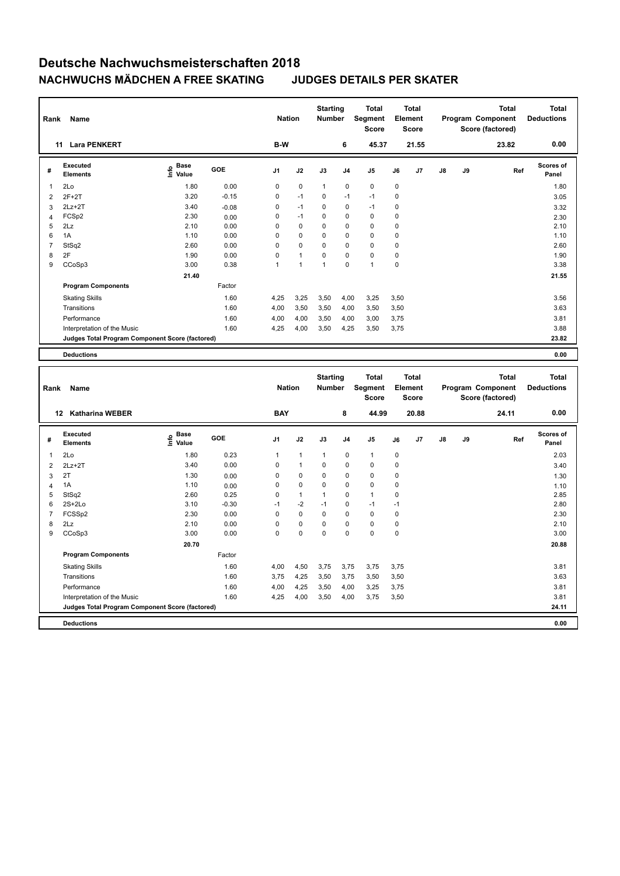| Rank           | Name                                            |                                           |         | <b>Nation</b>  |                | <b>Starting</b><br>Number |                | <b>Total</b><br>Segment<br>Score |             | <b>Total</b><br>Element<br><b>Score</b> |    |    | <b>Total</b><br>Program Component<br>Score (factored) | <b>Total</b><br><b>Deductions</b> |
|----------------|-------------------------------------------------|-------------------------------------------|---------|----------------|----------------|---------------------------|----------------|----------------------------------|-------------|-----------------------------------------|----|----|-------------------------------------------------------|-----------------------------------|
|                | 11 Lara PENKERT                                 |                                           |         | B-W            |                |                           | 6              | 45.37                            |             | 21.55                                   |    |    | 23.82                                                 | 0.00                              |
| #              | <b>Executed</b><br><b>Elements</b>              | $\frac{6}{5}$ Base<br>$\frac{5}{5}$ Value | GOE     | J1             | J2             | J3                        | J <sub>4</sub> | J5                               | J6          | J7                                      | J8 | J9 | Ref                                                   | Scores of<br>Panel                |
| 1              | 2Lo                                             | 1.80                                      | 0.00    | $\mathsf 0$    | $\pmb{0}$      | $\mathbf{1}$              | $\mathbf 0$    | $\pmb{0}$                        | $\mathbf 0$ |                                         |    |    |                                                       | 1.80                              |
| $\overline{2}$ | $2F+2T$                                         | 3.20                                      | $-0.15$ | $\mathbf 0$    | $-1$           | 0                         | $-1$           | $-1$                             | $\mathbf 0$ |                                         |    |    |                                                       | 3.05                              |
| $\mathbf{3}$   | $2Lz + 2T$                                      | 3.40                                      | $-0.08$ | $\mathbf 0$    | $-1$           | 0                         | $\mathbf 0$    | $-1$                             | $\mathbf 0$ |                                         |    |    |                                                       | 3.32                              |
| $\overline{4}$ | FCSp2                                           | 2.30                                      | 0.00    | $\mathbf 0$    | $-1$           | 0                         | $\mathbf 0$    | $\mathbf 0$                      | 0           |                                         |    |    |                                                       | 2.30                              |
| 5              | 2Lz                                             | 2.10                                      | 0.00    | 0              | $\mathbf 0$    | 0                         | $\mathbf 0$    | $\mathbf 0$                      | $\mathbf 0$ |                                         |    |    |                                                       | 2.10                              |
| 6              | 1A                                              | 1.10                                      | 0.00    | $\mathbf 0$    | 0              | 0                         | $\mathbf 0$    | $\mathbf 0$                      | $\mathbf 0$ |                                         |    |    |                                                       | 1.10                              |
| $\overline{7}$ | StSq2                                           | 2.60                                      | 0.00    | $\mathbf 0$    | 0              | 0                         | $\mathbf 0$    | $\mathbf 0$                      | $\mathbf 0$ |                                         |    |    |                                                       | 2.60                              |
| 8              | 2F                                              | 1.90                                      | 0.00    | $\mathbf 0$    | 1              | $\overline{0}$            | $\mathbf 0$    | $\pmb{0}$                        | $\mathbf 0$ |                                         |    |    |                                                       | 1.90                              |
| 9              | CCoSp3                                          | 3.00                                      | 0.38    | $\mathbf{1}$   | $\overline{1}$ | $\mathbf{1}$              | $\mathbf 0$    | $\overline{1}$                   | $\mathbf 0$ |                                         |    |    |                                                       | 3.38                              |
|                |                                                 | 21.40                                     |         |                |                |                           |                |                                  |             |                                         |    |    |                                                       | 21.55                             |
|                | <b>Program Components</b>                       |                                           | Factor  |                |                |                           |                |                                  |             |                                         |    |    |                                                       |                                   |
|                | <b>Skating Skills</b>                           |                                           | 1.60    | 4,25           | 3,25           | 3,50                      | 4,00           | 3,25                             | 3,50        |                                         |    |    |                                                       | 3.56                              |
|                | Transitions                                     |                                           | 1.60    | 4,00           | 3,50           | 3,50                      | 4,00           | 3,50                             | 3,50        |                                         |    |    |                                                       | 3.63                              |
|                | Performance                                     |                                           | 1.60    | 4,00           | 4,00           | 3,50                      | 4,00           | 3,00                             | 3,75        |                                         |    |    |                                                       | 3.81                              |
|                | Interpretation of the Music                     |                                           | 1.60    | 4,25           | 4,00           | 3,50                      | 4,25           | 3,50                             | 3,75        |                                         |    |    |                                                       | 3.88                              |
|                | Judges Total Program Component Score (factored) |                                           |         |                |                |                           |                |                                  |             |                                         |    |    |                                                       | 23.82                             |
|                |                                                 |                                           |         |                |                |                           |                |                                  |             |                                         |    |    |                                                       |                                   |
|                | <b>Deductions</b>                               |                                           |         |                |                |                           |                |                                  |             |                                         |    |    |                                                       | 0.00                              |
|                |                                                 |                                           |         |                |                |                           |                |                                  |             |                                         |    |    |                                                       |                                   |
|                |                                                 |                                           |         |                |                |                           |                |                                  |             |                                         |    |    |                                                       |                                   |
|                |                                                 |                                           |         |                |                | <b>Starting</b>           |                | <b>Total</b>                     |             | <b>Total</b>                            |    |    | <b>Total</b>                                          | <b>Total</b>                      |
| Rank           | Name                                            |                                           |         | <b>Nation</b>  |                | Number                    |                | Segment                          |             | Element                                 |    |    | Program Component                                     | <b>Deductions</b>                 |
|                |                                                 |                                           |         |                |                |                           |                | <b>Score</b>                     |             | <b>Score</b>                            |    |    | Score (factored)                                      |                                   |
|                | 12 Katharina WEBER                              |                                           |         | <b>BAY</b>     |                |                           | 8              | 44.99                            |             | 20.88                                   |    |    | 24.11                                                 | 0.00                              |
|                | <b>Executed</b>                                 |                                           | GOE     |                |                |                           |                |                                  |             |                                         |    |    |                                                       | Scores of                         |
| #              | <b>Elements</b>                                 | e Base<br>E Value                         |         | J <sub>1</sub> | J2             | J3                        | J4             | J <sub>5</sub>                   | J6          | J7                                      | J8 | J9 | Ref                                                   | Panel                             |
| $\mathbf{1}$   | 2Lo                                             | 1.80                                      | 0.23    | $\mathbf{1}$   | $\mathbf{1}$   | $\mathbf{1}$              | $\mathbf 0$    | $\mathbf{1}$                     | 0           |                                         |    |    |                                                       | 2.03                              |
| $\overline{2}$ | $2Lz + 2T$                                      | 3.40                                      | 0.00    | $\mathsf 0$    | 1              | 0                         | $\mathbf 0$    | $\pmb{0}$                        | $\mathbf 0$ |                                         |    |    |                                                       | 3.40                              |
| 3              | 2T                                              | 1.30                                      | 0.00    | $\mathsf 0$    | 0              | 0                         | $\mathbf 0$    | $\pmb{0}$                        | $\mathbf 0$ |                                         |    |    |                                                       | 1.30                              |
| $\overline{4}$ | 1A                                              | 1.10                                      | 0.00    | $\mathbf 0$    | 0              | 0                         | $\mathbf 0$    | $\mathbf 0$                      | $\mathbf 0$ |                                         |    |    |                                                       | 1.10                              |
| 5              | StSq2                                           | 2.60                                      | 0.25    | $\mathbf 0$    | $\mathbf{1}$   | 1                         | $\mathbf 0$    | $\mathbf{1}$                     | $\mathbf 0$ |                                         |    |    |                                                       | 2.85                              |
| 6              | $2S+2Lo$                                        | 3.10                                      | $-0.30$ | $-1$           | $-2$           | $-1$                      | $\mathbf 0$    | $-1$                             | $-1$        |                                         |    |    |                                                       | 2.80                              |
| $\overline{7}$ | FCSSp2                                          | 2.30                                      | 0.00    | $\mathsf 0$    | $\mathbf 0$    | $\mathbf 0$               | $\mathbf 0$    | $\pmb{0}$                        | $\mathbf 0$ |                                         |    |    |                                                       | 2.30                              |
| 8              | 2Lz                                             | 2.10                                      | 0.00    | $\mathbf 0$    | 0              | 0                         | $\mathbf 0$    | $\pmb{0}$                        | $\mathbf 0$ |                                         |    |    |                                                       | 2.10                              |
| 9              | CCoSp3                                          | 3.00                                      | 0.00    | $\mathbf 0$    | 0              | $\mathbf 0$               | $\mathbf 0$    | $\mathbf 0$                      | $\mathbf 0$ |                                         |    |    |                                                       | 3.00                              |
|                |                                                 | 20.70                                     |         |                |                |                           |                |                                  |             |                                         |    |    |                                                       | 20.88                             |
|                | <b>Program Components</b>                       |                                           | Factor  |                |                |                           |                |                                  |             |                                         |    |    |                                                       |                                   |
|                | <b>Skating Skills</b>                           |                                           | 1.60    | 4,00           | 4,50           | 3,75                      | 3,75           | 3,75                             | 3,75        |                                         |    |    |                                                       | 3.81                              |
|                | Transitions                                     |                                           | 1.60    | 3,75           | 4,25           | 3,50                      | 3,75           | 3,50                             | 3,50        |                                         |    |    |                                                       | 3.63                              |
|                | Performance                                     |                                           | 1.60    | 4,00           | 4,25           | 3,50                      | 4,00           | 3,25                             | 3,75        |                                         |    |    |                                                       | 3.81                              |
|                | Interpretation of the Music                     |                                           | 1.60    | 4,25           | 4,00           | 3,50                      | 4,00           | 3,75                             | 3,50        |                                         |    |    |                                                       | 3.81                              |
|                | Judges Total Program Component Score (factored) |                                           |         |                |                |                           |                |                                  |             |                                         |    |    |                                                       | 24.11                             |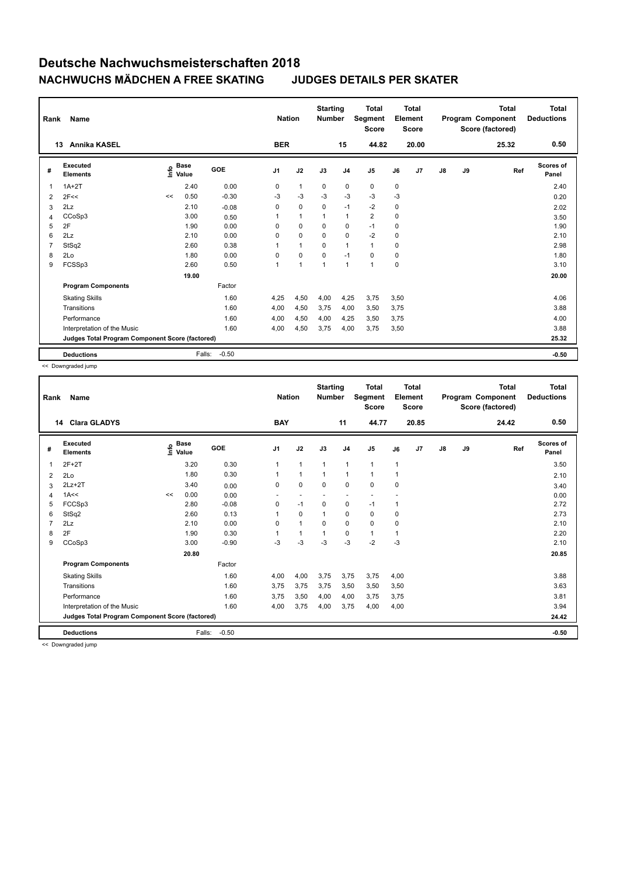| Rank           | Name                                            |      |                      |         | <b>Nation</b>  |                | <b>Starting</b><br><b>Number</b> |                | <b>Total</b><br>Segment<br><b>Score</b> |      | <b>Total</b><br>Element<br><b>Score</b> |               |    | <b>Total</b><br>Program Component<br>Score (factored) | <b>Total</b><br><b>Deductions</b> |
|----------------|-------------------------------------------------|------|----------------------|---------|----------------|----------------|----------------------------------|----------------|-----------------------------------------|------|-----------------------------------------|---------------|----|-------------------------------------------------------|-----------------------------------|
|                | <b>Annika KASEL</b><br>13                       |      |                      |         | <b>BER</b>     |                |                                  | 15             | 44.82                                   |      | 20.00                                   |               |    | 25.32                                                 | 0.50                              |
| #              | Executed<br><b>Elements</b>                     | Info | <b>Base</b><br>Value | GOE     | J <sub>1</sub> | J2             | J3                               | J <sub>4</sub> | J <sub>5</sub>                          | J6   | J7                                      | $\mathsf{J}8$ | J9 | Ref                                                   | <b>Scores of</b><br>Panel         |
| 1              | $1A+2T$                                         |      | 2.40                 | 0.00    | 0              | $\mathbf{1}$   | $\mathbf 0$                      | 0              | $\mathbf 0$                             | 0    |                                         |               |    |                                                       | 2.40                              |
| $\overline{2}$ | 2F<<                                            | <<   | 0.50                 | $-0.30$ | -3             | -3             | $-3$                             | $-3$           | $-3$                                    | $-3$ |                                         |               |    |                                                       | 0.20                              |
| 3              | 2Lz                                             |      | 2.10                 | $-0.08$ | 0              | $\mathbf 0$    | $\mathbf 0$                      | $-1$           | $-2$                                    | 0    |                                         |               |    |                                                       | 2.02                              |
| 4              | CCoSp3                                          |      | 3.00                 | 0.50    |                | $\mathbf{1}$   |                                  | $\mathbf{1}$   | $\overline{2}$                          | 0    |                                         |               |    |                                                       | 3.50                              |
| 5              | 2F                                              |      | 1.90                 | 0.00    | 0              | $\Omega$       | $\Omega$                         | 0              | $-1$                                    | 0    |                                         |               |    |                                                       | 1.90                              |
| 6              | 2Lz                                             |      | 2.10                 | 0.00    | 0              | $\mathbf 0$    | $\mathbf 0$                      | 0              | $-2$                                    | 0    |                                         |               |    |                                                       | 2.10                              |
| $\overline{7}$ | StSq2                                           |      | 2.60                 | 0.38    | 1              | $\mathbf{1}$   | $\Omega$                         | $\overline{1}$ | $\mathbf{1}$                            | 0    |                                         |               |    |                                                       | 2.98                              |
| 8              | 2Lo                                             |      | 1.80                 | 0.00    | 0              | 0              | 0                                | $-1$           | 0                                       | 0    |                                         |               |    |                                                       | 1.80                              |
| 9              | FCSSp3                                          |      | 2.60                 | 0.50    | 1              | $\overline{1}$ | 1                                | $\mathbf{1}$   | $\overline{1}$                          | 0    |                                         |               |    |                                                       | 3.10                              |
|                |                                                 |      | 19.00                |         |                |                |                                  |                |                                         |      |                                         |               |    |                                                       | 20.00                             |
|                | <b>Program Components</b>                       |      |                      | Factor  |                |                |                                  |                |                                         |      |                                         |               |    |                                                       |                                   |
|                | <b>Skating Skills</b>                           |      |                      | 1.60    | 4,25           | 4,50           | 4,00                             | 4,25           | 3,75                                    | 3,50 |                                         |               |    |                                                       | 4.06                              |
|                | Transitions                                     |      |                      | 1.60    | 4,00           | 4,50           | 3,75                             | 4,00           | 3,50                                    | 3,75 |                                         |               |    |                                                       | 3.88                              |
|                | Performance                                     |      |                      | 1.60    | 4,00           | 4,50           | 4,00                             | 4,25           | 3,50                                    | 3,75 |                                         |               |    |                                                       | 4.00                              |
|                | Interpretation of the Music                     |      |                      | 1.60    | 4,00           | 4,50           | 3,75                             | 4,00           | 3,75                                    | 3,50 |                                         |               |    |                                                       | 3.88                              |
|                | Judges Total Program Component Score (factored) |      |                      |         |                |                |                                  |                |                                         |      |                                         |               |    |                                                       | 25.32                             |
|                | <b>Deductions</b>                               |      | Falls:               | $-0.50$ |                |                |                                  |                |                                         |      |                                         |               |    |                                                       | $-0.50$                           |

<< Downgraded jump

| Rank | Name                                            |    |                                  |         | <b>Nation</b>  |                          | <b>Starting</b><br><b>Number</b> |                | <b>Total</b><br>Segment<br><b>Score</b> | Element      | <b>Total</b><br><b>Score</b> |               |    | <b>Total</b><br>Program Component<br>Score (factored) | <b>Total</b><br><b>Deductions</b> |
|------|-------------------------------------------------|----|----------------------------------|---------|----------------|--------------------------|----------------------------------|----------------|-----------------------------------------|--------------|------------------------------|---------------|----|-------------------------------------------------------|-----------------------------------|
| 14   | <b>Clara GLADYS</b>                             |    |                                  |         | <b>BAY</b>     |                          |                                  | 11             | 44.77                                   |              | 20.85                        |               |    | 24.42                                                 | 0.50                              |
| #    | Executed<br><b>Elements</b>                     |    | <b>Base</b><br>e Base<br>⊆ Value | GOE     | J <sub>1</sub> | J2                       | J3                               | J <sub>4</sub> | J5                                      | J6           | J7                           | $\mathsf{J}8$ | J9 | Ref                                                   | Scores of<br>Panel                |
| 1    | $2F+2T$                                         |    | 3.20                             | 0.30    | 1              | $\mathbf{1}$             | $\mathbf{1}$                     | $\mathbf{1}$   | $\mathbf{1}$                            | $\mathbf{1}$ |                              |               |    |                                                       | 3.50                              |
| 2    | 2Lo                                             |    | 1.80                             | 0.30    |                | $\mathbf{1}$             | 1                                | $\mathbf{1}$   | $\mathbf{1}$                            | 1            |                              |               |    |                                                       | 2.10                              |
| 3    | $2Lz+2T$                                        |    | 3.40                             | 0.00    | 0              | $\mathbf 0$              | 0                                | $\mathbf 0$    | $\mathbf 0$                             | $\mathbf 0$  |                              |               |    |                                                       | 3.40                              |
| 4    | 1A<<                                            | << | 0.00                             | 0.00    | ٠              | $\overline{\phantom{a}}$ | $\overline{\phantom{a}}$         | ٠              | $\overline{\phantom{a}}$                |              |                              |               |    |                                                       | 0.00                              |
| 5    | FCCSp3                                          |    | 2.80                             | $-0.08$ | 0              | $-1$                     | 0                                | $\pmb{0}$      | $-1$                                    | 1            |                              |               |    |                                                       | 2.72                              |
| 6    | StSq2                                           |    | 2.60                             | 0.13    |                | $\Omega$                 | $\mathbf{1}$                     | $\mathbf 0$    | $\mathbf 0$                             | $\mathbf 0$  |                              |               |    |                                                       | 2.73                              |
|      | 2Lz                                             |    | 2.10                             | 0.00    | $\Omega$       | $\mathbf{1}$             | $\Omega$                         | $\mathbf 0$    | $\mathbf 0$                             | $\mathbf 0$  |                              |               |    |                                                       | 2.10                              |
| 8    | 2F                                              |    | 1.90                             | 0.30    |                | $\mathbf{1}$             | 1                                | $\mathbf 0$    | $\mathbf{1}$                            | 1            |                              |               |    |                                                       | 2.20                              |
| 9    | CCoSp3                                          |    | 3.00                             | $-0.90$ | $-3$           | -3                       | $-3$                             | $-3$           | $-2$                                    | $-3$         |                              |               |    |                                                       | 2.10                              |
|      |                                                 |    | 20.80                            |         |                |                          |                                  |                |                                         |              |                              |               |    |                                                       | 20.85                             |
|      | <b>Program Components</b>                       |    |                                  | Factor  |                |                          |                                  |                |                                         |              |                              |               |    |                                                       |                                   |
|      | <b>Skating Skills</b>                           |    |                                  | 1.60    | 4,00           | 4,00                     | 3,75                             | 3,75           | 3,75                                    | 4,00         |                              |               |    |                                                       | 3.88                              |
|      | Transitions                                     |    |                                  | 1.60    | 3,75           | 3,75                     | 3,75                             | 3,50           | 3,50                                    | 3,50         |                              |               |    |                                                       | 3.63                              |
|      | Performance                                     |    |                                  | 1.60    | 3,75           | 3,50                     | 4,00                             | 4,00           | 3,75                                    | 3,75         |                              |               |    |                                                       | 3.81                              |
|      | Interpretation of the Music                     |    |                                  | 1.60    | 4,00           | 3,75                     | 4,00                             | 3,75           | 4,00                                    | 4,00         |                              |               |    |                                                       | 3.94                              |
|      | Judges Total Program Component Score (factored) |    |                                  |         |                |                          |                                  |                |                                         |              |                              |               |    |                                                       | 24.42                             |
|      | <b>Deductions</b>                               |    | Falls:                           | $-0.50$ |                |                          |                                  |                |                                         |              |                              |               |    |                                                       | $-0.50$                           |

<< Downgraded jump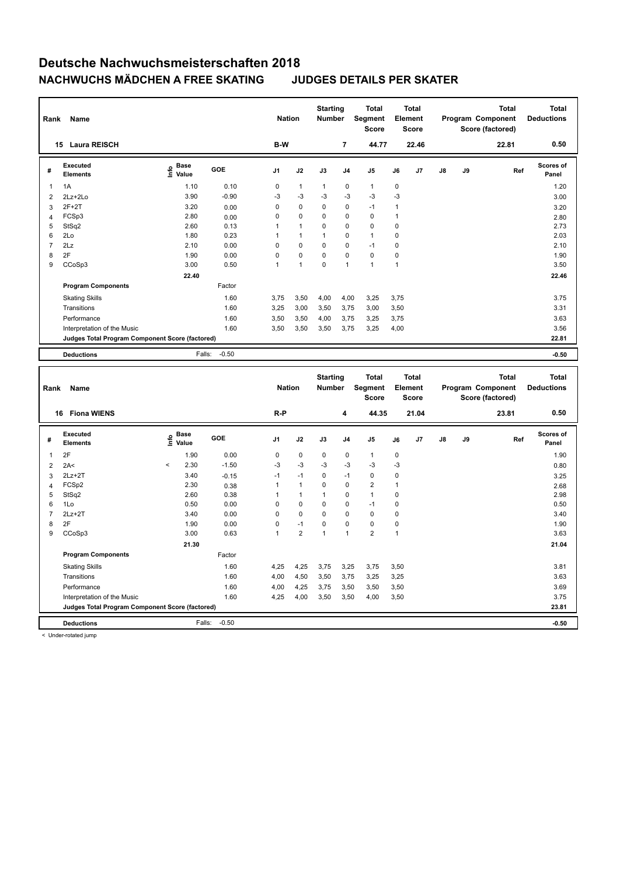| Rank                | Name                                                                 |                                           |                   | <b>Nation</b>  |                | <b>Starting</b><br><b>Number</b> |                | <b>Total</b><br><b>Segment</b><br>Score |              | <b>Total</b><br>Element<br>Score        |    |    | <b>Total</b><br>Program Component<br>Score (factored) |     | <b>Total</b><br><b>Deductions</b> |
|---------------------|----------------------------------------------------------------------|-------------------------------------------|-------------------|----------------|----------------|----------------------------------|----------------|-----------------------------------------|--------------|-----------------------------------------|----|----|-------------------------------------------------------|-----|-----------------------------------|
|                     | 15 Laura REISCH                                                      |                                           |                   | B-W            |                |                                  | $\overline{7}$ | 44.77                                   |              | 22.46                                   |    |    | 22.81                                                 |     | 0.50                              |
| #                   | Executed<br><b>Elements</b>                                          | $\frac{e}{E}$ Base<br>$\frac{e}{E}$ Value | GOE               | J1             | J2             | J3                               | J <sub>4</sub> | J5                                      | J6           | J7                                      | J8 | J9 |                                                       | Ref | Scores of<br>Panel                |
| 1                   | 1A                                                                   | 1.10                                      | 0.10              | $\mathsf 0$    | $\mathbf{1}$   | $\mathbf{1}$                     | $\pmb{0}$      | $\mathbf{1}$                            | $\mathbf 0$  |                                         |    |    |                                                       |     | 1.20                              |
| $\overline{2}$      | $2Lz + 2Lo$                                                          | 3.90                                      | $-0.90$           | $-3$           | $-3$           | $-3$                             | $-3$           | $-3$                                    | $-3$         |                                         |    |    |                                                       |     | 3.00                              |
| 3                   | $2F+2T$                                                              | 3.20                                      | 0.00              | 0              | $\Omega$       | $\Omega$                         | 0              | $-1$                                    | $\mathbf{1}$ |                                         |    |    |                                                       |     | 3.20                              |
| $\overline{4}$      | FCSp3                                                                | 2.80                                      | 0.00              | $\pmb{0}$      | 0              | 0                                | 0              | $\mathbf 0$                             | $\mathbf{1}$ |                                         |    |    |                                                       |     | 2.80                              |
| 5                   | StSq2                                                                | 2.60                                      | 0.13              | 1              | $\mathbf{1}$   | 0                                | 0              | $\mathbf 0$                             | $\mathbf 0$  |                                         |    |    |                                                       |     | 2.73                              |
| 6                   | 2Lo                                                                  | 1.80                                      | 0.23              | $\mathbf{1}$   | 1              | $\mathbf{1}$                     | $\Omega$       | $\mathbf{1}$                            | $\mathbf 0$  |                                         |    |    |                                                       |     | 2.03                              |
| $\overline{7}$      | 2Lz                                                                  | 2.10                                      | 0.00              | $\mathbf 0$    | 0              | 0                                | $\mathbf 0$    | $-1$                                    | $\mathbf 0$  |                                         |    |    |                                                       |     | 2.10                              |
| 8                   | 2F                                                                   | 1.90                                      | 0.00              | $\mathsf 0$    | 0              | 0                                | $\mathbf 0$    | $\pmb{0}$                               | $\pmb{0}$    |                                         |    |    |                                                       |     | 1.90                              |
| 9                   | CCoSp3                                                               | 3.00                                      | 0.50              | $\mathbf{1}$   | $\mathbf{1}$   | 0                                | $\overline{1}$ | $\mathbf{1}$                            | $\mathbf{1}$ |                                         |    |    |                                                       |     | 3.50                              |
|                     |                                                                      | 22.40                                     |                   |                |                |                                  |                |                                         |              |                                         |    |    |                                                       |     | 22.46                             |
|                     | <b>Program Components</b>                                            |                                           | Factor            |                |                |                                  |                |                                         |              |                                         |    |    |                                                       |     |                                   |
|                     | <b>Skating Skills</b>                                                |                                           | 1.60              | 3,75           | 3,50           | 4,00                             | 4,00           | 3,25                                    | 3,75         |                                         |    |    |                                                       |     | 3.75                              |
|                     | Transitions                                                          |                                           | 1.60              | 3,25           | 3,00           | 3,50                             | 3,75           | 3,00                                    | 3,50         |                                         |    |    |                                                       |     | 3.31                              |
|                     | Performance                                                          |                                           | 1.60              | 3,50           | 3,50           | 4,00                             | 3,75           | 3,25                                    | 3,75         |                                         |    |    |                                                       |     | 3.63                              |
|                     | Interpretation of the Music                                          |                                           | 1.60              | 3,50           | 3,50           | 3,50                             | 3,75           | 3,25                                    | 4,00         |                                         |    |    |                                                       |     | 3.56                              |
|                     | Judges Total Program Component Score (factored)                      |                                           |                   |                |                |                                  |                |                                         |              |                                         |    |    |                                                       |     | 22.81                             |
|                     |                                                                      |                                           |                   |                |                |                                  |                |                                         |              |                                         |    |    |                                                       |     |                                   |
|                     | <b>Deductions</b>                                                    | Falls:                                    | $-0.50$           |                |                |                                  |                |                                         |              |                                         |    |    |                                                       |     | $-0.50$                           |
|                     |                                                                      |                                           |                   |                |                |                                  |                |                                         |              |                                         |    |    |                                                       |     |                                   |
| Rank                | Name                                                                 |                                           |                   | <b>Nation</b>  |                | <b>Starting</b><br>Number        |                | <b>Total</b><br>Segment<br><b>Score</b> |              | <b>Total</b><br>Element<br><b>Score</b> |    |    | <b>Total</b><br>Program Component<br>Score (factored) |     | <b>Total</b><br><b>Deductions</b> |
|                     | 16 Fiona WIENS                                                       |                                           |                   | $R-P$          |                |                                  | 4              | 44.35                                   |              | 21.04                                   |    |    | 23.81                                                 |     | 0.50                              |
| #                   | Executed<br><b>Elements</b>                                          | e Base<br>E Value                         | GOE               | J <sub>1</sub> | J2             | J3                               | J <sub>4</sub> | J5                                      | J6           | J7                                      | J8 | J9 |                                                       | Ref | Scores of<br>Panel                |
| 1                   | 2F                                                                   | 1.90                                      | 0.00              | 0              | 0              | 0                                | $\mathbf 0$    | $\mathbf{1}$                            | $\mathbf 0$  |                                         |    |    |                                                       |     | 1.90                              |
|                     |                                                                      | 2.30<br>$\,<$                             | $-1.50$           | -3             | -3             | -3                               | $-3$           | -3                                      | -3           |                                         |    |    |                                                       |     |                                   |
| $\overline{2}$      | 2A<                                                                  |                                           |                   | $-1$           | $-1$           | 0                                | $-1$           | $\pmb{0}$                               | $\mathbf 0$  |                                         |    |    |                                                       |     | 0.80                              |
| 3                   | $2Lz+2T$<br>FCSp2                                                    | 3.40<br>2.30                              | $-0.15$           | $\mathbf{1}$   | $\mathbf{1}$   | 0                                | $\mathsf 0$    | $\overline{2}$                          | $\mathbf{1}$ |                                         |    |    |                                                       |     | 3.25                              |
| $\overline{4}$<br>5 | StSq2                                                                | 2.60                                      | 0.38<br>0.38      | 1              | $\mathbf{1}$   | 1                                | 0              | $\mathbf{1}$                            | $\mathbf 0$  |                                         |    |    |                                                       |     | 2.68<br>2.98                      |
| 6                   | 1Lo                                                                  | 0.50                                      | 0.00              | $\mathsf 0$    | $\pmb{0}$      | 0                                | $\mathsf 0$    | $-1$                                    | $\mathbf 0$  |                                         |    |    |                                                       |     | 0.50                              |
| $\overline{7}$      | $2Lz+2T$                                                             | 3.40                                      | 0.00              | $\mathsf 0$    | 0              | 0                                | 0              | $\pmb{0}$                               | $\mathbf 0$  |                                         |    |    |                                                       |     | 3.40                              |
| 8                   | 2F                                                                   | 1.90                                      | 0.00              | $\mathsf 0$    | $-1$           | 0                                | $\pmb{0}$      | $\pmb{0}$                               | $\mathbf 0$  |                                         |    |    |                                                       |     | 1.90                              |
| 9                   | CCoSp3                                                               | 3.00                                      | 0.63              | $\mathbf{1}$   | $\overline{2}$ | $\mathbf{1}$                     | 1              | $\overline{2}$                          | $\mathbf{1}$ |                                         |    |    |                                                       |     | 3.63                              |
|                     |                                                                      | 21.30                                     |                   |                |                |                                  |                |                                         |              |                                         |    |    |                                                       |     | 21.04                             |
|                     | <b>Program Components</b>                                            |                                           | Factor            |                |                |                                  |                |                                         |              |                                         |    |    |                                                       |     |                                   |
|                     | <b>Skating Skills</b>                                                |                                           | 1.60              |                | 4,25           | 3,75                             | 3,25           | 3,75                                    | 3,50         |                                         |    |    |                                                       |     | 3.81                              |
|                     | Transitions                                                          |                                           | 1.60              | 4,25<br>4,00   | 4,50           | 3,50                             | 3,75           | 3,25                                    | 3,25         |                                         |    |    |                                                       |     | 3.63                              |
|                     | Performance                                                          |                                           | 1.60              | 4,00           |                |                                  |                |                                         |              |                                         |    |    |                                                       |     | 3.69                              |
|                     |                                                                      |                                           | 1.60              | 4,25           | 4,25<br>4,00   | 3,75<br>3,50                     | 3,50<br>3,50   | 3,50<br>4,00                            | 3,50<br>3,50 |                                         |    |    |                                                       |     | 3.75                              |
|                     | Interpretation of the Music                                          |                                           |                   |                |                |                                  |                |                                         |              |                                         |    |    |                                                       |     | 23.81                             |
|                     | Judges Total Program Component Score (factored)<br><b>Deductions</b> |                                           | $-0.50$<br>Falls: |                |                |                                  |                |                                         |              |                                         |    |    |                                                       |     | $-0.50$                           |

< Under-rotated jump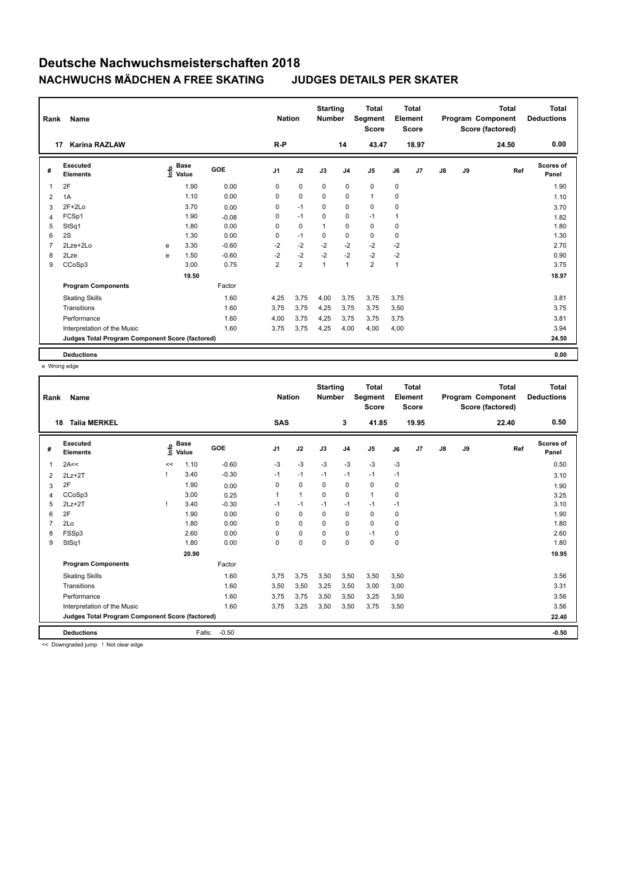| Rank           | <b>Name</b>                                     |      | <b>Nation</b>        |            | <b>Starting</b><br><b>Number</b> | <b>Total</b><br>Segment<br><b>Score</b> | <b>Total</b><br>Element<br><b>Score</b> |                |                |              | <b>Total</b><br>Program Component<br>Score (factored) | <b>Total</b><br><b>Deductions</b> |    |       |                    |
|----------------|-------------------------------------------------|------|----------------------|------------|----------------------------------|-----------------------------------------|-----------------------------------------|----------------|----------------|--------------|-------------------------------------------------------|-----------------------------------|----|-------|--------------------|
|                | <b>Karina RAZLAW</b><br>17                      |      |                      |            | $R-P$                            |                                         |                                         | 14             | 43.47          |              | 18.97                                                 |                                   |    | 24.50 | 0.00               |
| #              | Executed<br><b>Elements</b>                     | lnfo | <b>Base</b><br>Value | <b>GOE</b> | J <sub>1</sub>                   | J2                                      | J3                                      | J <sub>4</sub> | J <sub>5</sub> | J6           | J <sub>7</sub>                                        | $\mathsf{J}8$                     | J9 | Ref   | Scores of<br>Panel |
| $\overline{1}$ | 2F                                              |      | 1.90                 | 0.00       | 0                                | $\mathbf 0$                             | $\mathbf 0$                             | $\mathbf 0$    | $\mathbf 0$    | $\mathbf 0$  |                                                       |                                   |    |       | 1.90               |
| 2              | 1A                                              |      | 1.10                 | 0.00       | 0                                | $\mathbf 0$                             | $\mathbf 0$                             | $\mathbf 0$    | $\mathbf{1}$   | 0            |                                                       |                                   |    |       | 1.10               |
| 3              | $2F+2Lo$                                        |      | 3.70                 | 0.00       | 0                                | $-1$                                    | $\mathbf 0$                             | $\mathbf 0$    | $\mathbf 0$    | 0            |                                                       |                                   |    |       | 3.70               |
| $\overline{4}$ | FCSp1                                           |      | 1.90                 | $-0.08$    | 0                                | $-1$                                    | $\mathbf 0$                             | 0              | $-1$           | 1            |                                                       |                                   |    |       | 1.82               |
| 5              | StSq1                                           |      | 1.80                 | 0.00       | $\Omega$                         | $\mathbf 0$                             |                                         | $\mathbf 0$    | 0              | 0            |                                                       |                                   |    |       | 1.80               |
| 6              | 2S                                              |      | 1.30                 | 0.00       | 0                                | $-1$                                    | 0                                       | 0              | 0              | 0            |                                                       |                                   |    |       | 1.30               |
| $\overline{7}$ | 2Lze+2Lo                                        | e    | 3.30                 | $-0.60$    | $-2$                             | $-2$                                    | $-2$                                    | $-2$           | $-2$           | $-2$         |                                                       |                                   |    |       | 2.70               |
| 8              | 2Lze                                            | e    | 1.50                 | $-0.60$    | $-2$                             | $-2$                                    | $-2$                                    | $-2$           | $-2$           | $-2$         |                                                       |                                   |    |       | 0.90               |
| 9              | CCoSp3                                          |      | 3.00                 | 0.75       | $\overline{2}$                   | $\overline{2}$                          | $\mathbf{1}$                            | $\mathbf{1}$   | $\overline{2}$ | $\mathbf{1}$ |                                                       |                                   |    |       | 3.75               |
|                |                                                 |      | 19.50                |            |                                  |                                         |                                         |                |                |              |                                                       |                                   |    |       | 18.97              |
|                | <b>Program Components</b>                       |      |                      | Factor     |                                  |                                         |                                         |                |                |              |                                                       |                                   |    |       |                    |
|                | <b>Skating Skills</b>                           |      |                      | 1.60       | 4,25                             | 3,75                                    | 4,00                                    | 3,75           | 3,75           | 3,75         |                                                       |                                   |    |       | 3.81               |
|                | Transitions                                     |      |                      | 1.60       | 3.75                             | 3,75                                    | 4,25                                    | 3,75           | 3,75           | 3,50         |                                                       |                                   |    |       | 3.75               |
|                | Performance                                     |      |                      | 1.60       | 4,00                             | 3,75                                    | 4,25                                    | 3,75           | 3,75           | 3,75         |                                                       |                                   |    |       | 3.81               |
|                | Interpretation of the Music                     |      |                      | 1.60       | 3,75                             | 3,75                                    | 4,25                                    | 4,00           | 4,00           | 4,00         |                                                       |                                   |    |       | 3.94               |
|                | Judges Total Program Component Score (factored) |      |                      |            |                                  |                                         |                                         |                |                |              |                                                       |                                   |    |       | 24.50              |
|                | <b>Deductions</b>                               |      |                      |            |                                  |                                         |                                         |                |                |              |                                                       |                                   |    |       | 0.00               |

e Wrong edge

| Rank | Name                                            |      |                      |         | <b>Nation</b>  |              | <b>Starting</b><br><b>Number</b> |                | <b>Total</b><br>Segment<br><b>Score</b> |             | Total<br>Element<br><b>Score</b> |               |    | <b>Total</b><br>Program Component<br>Score (factored) | <b>Total</b><br><b>Deductions</b> |
|------|-------------------------------------------------|------|----------------------|---------|----------------|--------------|----------------------------------|----------------|-----------------------------------------|-------------|----------------------------------|---------------|----|-------------------------------------------------------|-----------------------------------|
| 18   | <b>Talia MERKEL</b>                             |      |                      |         | <b>SAS</b>     |              |                                  | 3              | 41.85                                   |             | 19.95                            |               |    | 22.40                                                 | 0.50                              |
| #    | Executed<br><b>Elements</b>                     | Life | <b>Base</b><br>Value | GOE     | J <sub>1</sub> | J2           | J3                               | J <sub>4</sub> | J5                                      | J6          | J7                               | $\mathsf{J}8$ | J9 | Ref                                                   | Scores of<br>Panel                |
| 1    | 2A<<                                            | <<   | 1.10                 | $-0.60$ | $-3$           | $-3$         | $-3$                             | $-3$           | $-3$                                    | $-3$        |                                  |               |    |                                                       | 0.50                              |
| 2    | $2Lz+2T$                                        |      | 3.40                 | $-0.30$ | $-1$           | $-1$         | $-1$                             | $-1$           | $-1$                                    | $-1$        |                                  |               |    |                                                       | 3.10                              |
| 3    | 2F                                              |      | 1.90                 | 0.00    | 0              | $\mathbf 0$  | 0                                | $\mathbf 0$    | $\mathbf 0$                             | $\mathbf 0$ |                                  |               |    |                                                       | 1.90                              |
| 4    | CCoSp3                                          |      | 3.00                 | 0.25    |                | $\mathbf{1}$ | $\Omega$                         | 0              | $\mathbf{1}$                            | $\mathbf 0$ |                                  |               |    |                                                       | 3.25                              |
| 5    | $2Lz + 2T$                                      |      | 3.40                 | $-0.30$ | $-1$           | $-1$         | $-1$                             | $-1$           | $-1$                                    | $-1$        |                                  |               |    |                                                       | 3.10                              |
| 6    | 2F                                              |      | 1.90                 | 0.00    | 0              | $\mathbf 0$  | 0                                | 0              | $\mathbf 0$                             | 0           |                                  |               |    |                                                       | 1.90                              |
| 7    | 2Lo                                             |      | 1.80                 | 0.00    | $\Omega$       | $\mathbf 0$  | $\Omega$                         | $\mathbf 0$    | $\mathbf 0$                             | $\mathbf 0$ |                                  |               |    |                                                       | 1.80                              |
| 8    | FSSp3                                           |      | 2.60                 | 0.00    | $\Omega$       | $\mathbf 0$  | 0                                | $\mathbf 0$    | $-1$                                    | $\mathbf 0$ |                                  |               |    |                                                       | 2.60                              |
| 9    | StSq1                                           |      | 1.80                 | 0.00    | 0              | $\mathbf 0$  | $\mathbf 0$                      | $\mathbf 0$    | $\mathbf 0$                             | $\mathbf 0$ |                                  |               |    |                                                       | 1.80                              |
|      |                                                 |      | 20.90                |         |                |              |                                  |                |                                         |             |                                  |               |    |                                                       | 19.95                             |
|      | <b>Program Components</b>                       |      |                      | Factor  |                |              |                                  |                |                                         |             |                                  |               |    |                                                       |                                   |
|      | <b>Skating Skills</b>                           |      |                      | 1.60    | 3,75           | 3,75         | 3,50                             | 3,50           | 3,50                                    | 3,50        |                                  |               |    |                                                       | 3.56                              |
|      | Transitions                                     |      |                      | 1.60    | 3,50           | 3,50         | 3,25                             | 3,50           | 3,00                                    | 3,00        |                                  |               |    |                                                       | 3.31                              |
|      | Performance                                     |      |                      | 1.60    | 3.75           | 3,75         | 3,50                             | 3,50           | 3,25                                    | 3,50        |                                  |               |    |                                                       | 3.56                              |
|      | Interpretation of the Music                     |      |                      | 1.60    | 3,75           | 3,25         | 3,50                             | 3,50           | 3,75                                    | 3,50        |                                  |               |    |                                                       | 3.56                              |
|      | Judges Total Program Component Score (factored) |      |                      |         |                |              |                                  |                |                                         |             |                                  | 22.40         |    |                                                       |                                   |
|      | <b>Deductions</b>                               |      | Falls:               | $-0.50$ |                |              |                                  |                |                                         |             |                                  |               |    |                                                       | $-0.50$                           |

<< Downgraded jump ! Not clear edge